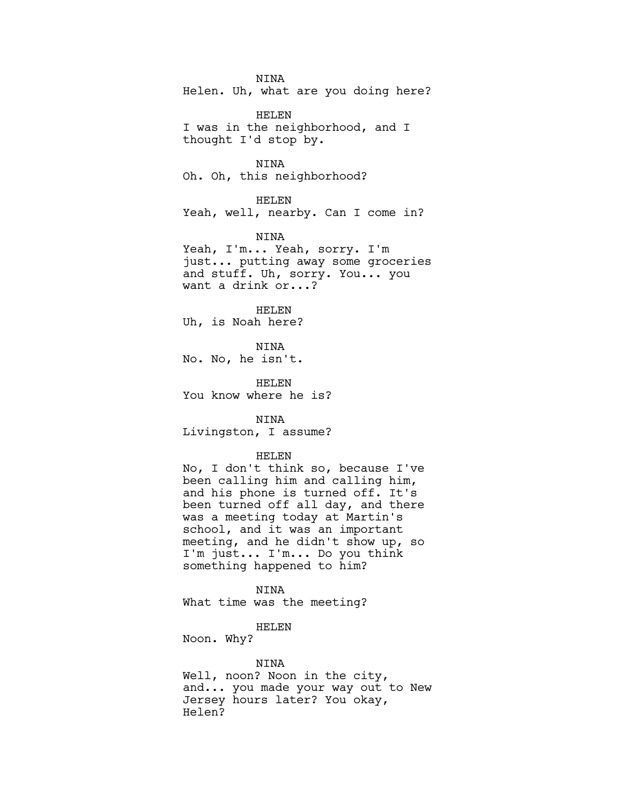NINA Helen. Uh, what are you doing here?

HELEN I was in the neighborhood, and I thought I'd stop by.

NINA Oh. Oh, this neighborhood?

HELEN Yeah, well, nearby. Can I come in?

NINA

Yeah, I'm... Yeah, sorry. I'm just... putting away some groceries and stuff. Uh, sorry. You... you want a drink or...?

HELEN Uh, is Noah here?

NINA No. No, he isn't.

HELEN You know where he is?

NINA Livingston, I assume?

# HELEN

No, I don't think so, because I've been calling him and calling him, and his phone is turned off. It's been turned off all day, and there was a meeting today at Martin's school, and it was an important meeting, and he didn't show up, so I'm just... I'm... Do you think something happened to him?

NINA What time was the meeting?

# HELEN

Noon. Why?

### NINA

Well, noon? Noon in the city, and... you made your way out to New Jersey hours later? You okay, Helen?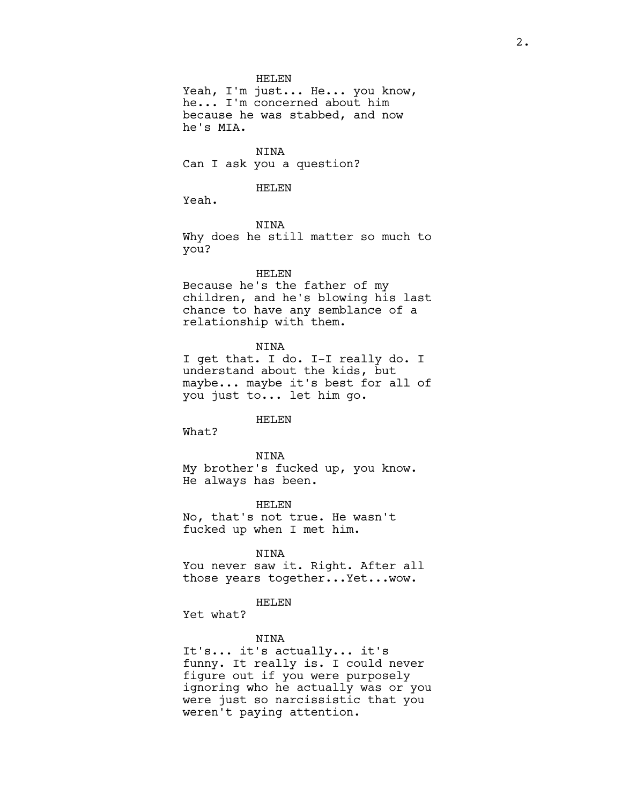HELEN

Yeah, I'm just... He... you know, he... I'm concerned about him because he was stabbed, and now he's MIA.

NINA Can I ask you a question?

## HELEN

Yeah.

NINA

Why does he still matter so much to you?

## HELEN

Because he's the father of my children, and he's blowing his last chance to have any semblance of a relationship with them.

NINA

I get that. I do. I-I really do. I understand about the kids, but maybe... maybe it's best for all of you just to... let him go.

HELEN

What?

NINA My brother's fucked up, you know. He always has been.

HELEN No, that's not true. He wasn't fucked up when I met him.

NINA

You never saw it. Right. After all those years together...Yet...wow.

#### HELEN

Yet what?

#### NINA

It's... it's actually... it's funny. It really is. I could never figure out if you were purposely ignoring who he actually was or you were just so narcissistic that you weren't paying attention.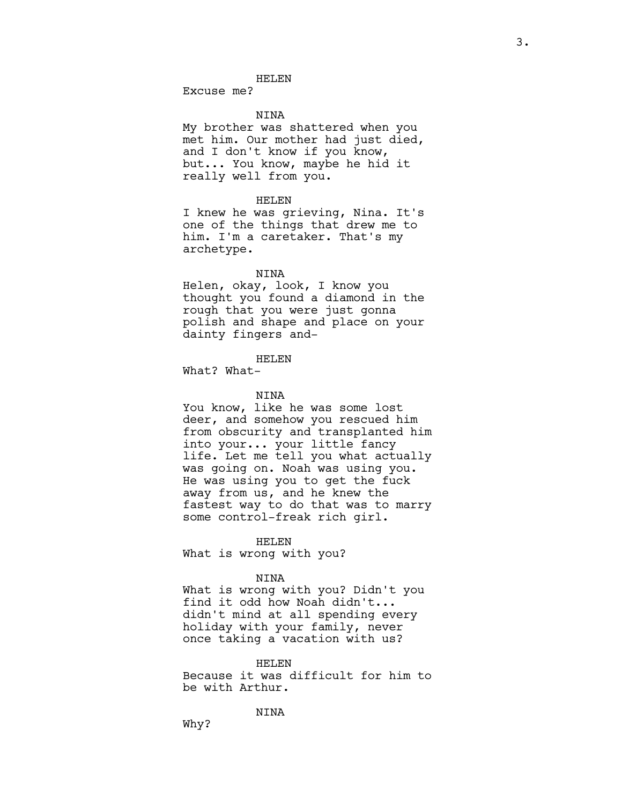Excuse me?

#### NINA

My brother was shattered when you met him. Our mother had just died, and I don't know if you know, but... You know, maybe he hid it really well from you.

#### HELEN

I knew he was grieving, Nina. It's one of the things that drew me to him. I'm a caretaker. That's my archetype.

## NINA

Helen, okay, look, I know you thought you found a diamond in the rough that you were just gonna polish and shape and place on your dainty fingers and-

## HELEN

What? What-

## NINA

You know, like he was some lost deer, and somehow you rescued him from obscurity and transplanted him into your... your little fancy life. Let me tell you what actually was going on. Noah was using you. He was using you to get the fuck away from us, and he knew the fastest way to do that was to marry some control-freak rich girl.

## HELEN

What is wrong with you?

#### NINA

What is wrong with you? Didn't you find it odd how Noah didn't... didn't mind at all spending every holiday with your family, never once taking a vacation with us?

# HELEN

Because it was difficult for him to be with Arthur.

NINA

Why?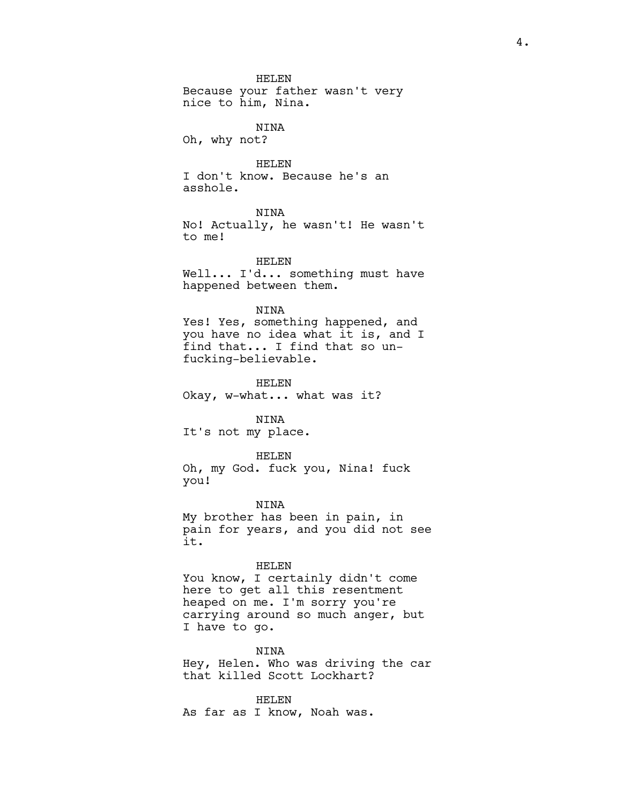HELEN Because your father wasn't very nice to him, Nina.

NINA

Oh, why not?

HELEN I don't know. Because he's an asshole.

NINA

No! Actually, he wasn't! He wasn't to me!

HELEN Well... I'd... something must have happened between them.

NINA

Yes! Yes, something happened, and you have no idea what it is, and I find that... I find that so unfucking-believable.

HELEN Okay, w-what... what was it?

NINA It's not my place.

HELEN

Oh, my God. fuck you, Nina! fuck you!

NINA My brother has been in pain, in pain for years, and you did not see it.

HELEN

You know, I certainly didn't come here to get all this resentment heaped on me. I'm sorry you're carrying around so much anger, but I have to go.

NINA

Hey, Helen. Who was driving the car that killed Scott Lockhart?

HELEN As far as I know, Noah was.